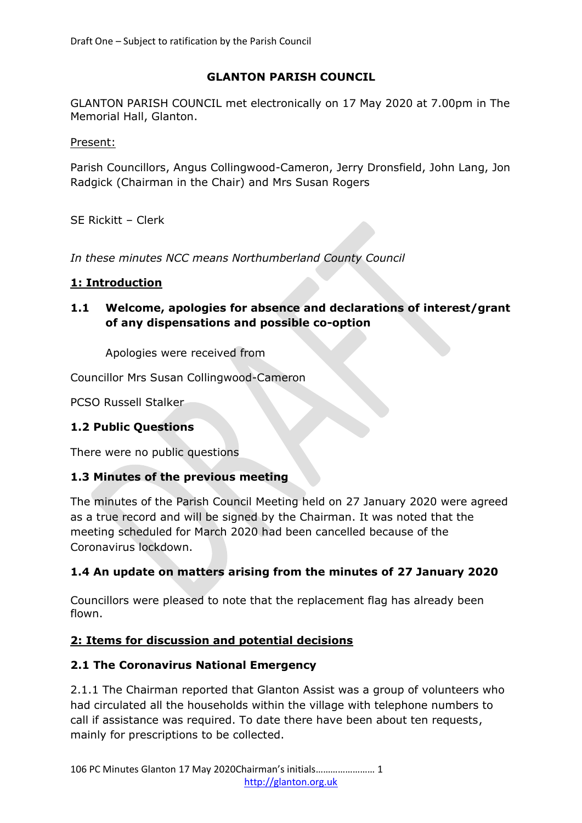## **GLANTON PARISH COUNCIL**

GLANTON PARISH COUNCIL met electronically on 17 May 2020 at 7.00pm in The Memorial Hall, Glanton.

Present:

Parish Councillors, Angus Collingwood-Cameron, Jerry Dronsfield, John Lang, Jon Radgick (Chairman in the Chair) and Mrs Susan Rogers

SE Rickitt – Clerk

*In these minutes NCC means Northumberland County Council*

### **1: Introduction**

**1.1 Welcome, apologies for absence and declarations of interest/grant of any dispensations and possible co-option**

Apologies were received from

Councillor Mrs Susan Collingwood-Cameron

PCSO Russell Stalker

#### **1.2 Public Questions**

There were no public questions

#### **1.3 Minutes of the previous meeting**

The minutes of the Parish Council Meeting held on 27 January 2020 were agreed as a true record and will be signed by the Chairman. It was noted that the meeting scheduled for March 2020 had been cancelled because of the Coronavirus lockdown.

## **1.4 An update on matters arising from the minutes of 27 January 2020**

Councillors were pleased to note that the replacement flag has already been flown.

## **2: Items for discussion and potential decisions**

#### **2.1 The Coronavirus National Emergency**

2.1.1 The Chairman reported that Glanton Assist was a group of volunteers who had circulated all the households within the village with telephone numbers to call if assistance was required. To date there have been about ten requests, mainly for prescriptions to be collected.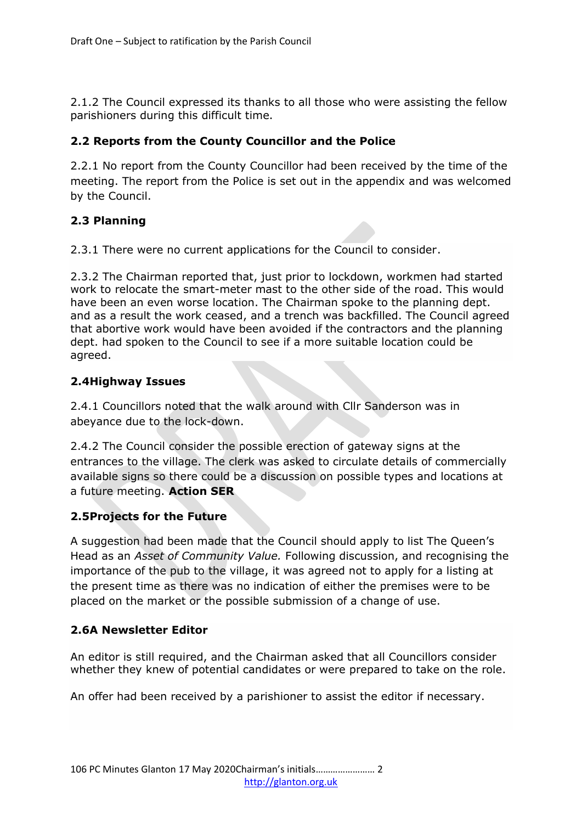2.1.2 The Council expressed its thanks to all those who were assisting the fellow parishioners during this difficult time.

## **2.2 Reports from the County Councillor and the Police**

2.2.1 No report from the County Councillor had been received by the time of the meeting. The report from the Police is set out in the appendix and was welcomed by the Council.

## **2.3 Planning**

2.3.1 There were no current applications for the Council to consider.

2.3.2 The Chairman reported that, just prior to lockdown, workmen had started work to relocate the smart-meter mast to the other side of the road. This would have been an even worse location. The Chairman spoke to the planning dept. and as a result the work ceased, and a trench was backfilled. The Council agreed that abortive work would have been avoided if the contractors and the planning dept. had spoken to the Council to see if a more suitable location could be agreed.

### **2.4Highway Issues**

2.4.1 Councillors noted that the walk around with Cllr Sanderson was in abeyance due to the lock-down.

2.4.2 The Council consider the possible erection of gateway signs at the entrances to the village. The clerk was asked to circulate details of commercially available signs so there could be a discussion on possible types and locations at a future meeting. **Action SER**

## **2.5Projects for the Future**

A suggestion had been made that the Council should apply to list The Queen's Head as an *Asset of Community Value.* Following discussion, and recognising the importance of the pub to the village, it was agreed not to apply for a listing at the present time as there was no indication of either the premises were to be placed on the market or the possible submission of a change of use.

## **2.6A Newsletter Editor**

An editor is still required, and the Chairman asked that all Councillors consider whether they knew of potential candidates or were prepared to take on the role.

An offer had been received by a parishioner to assist the editor if necessary.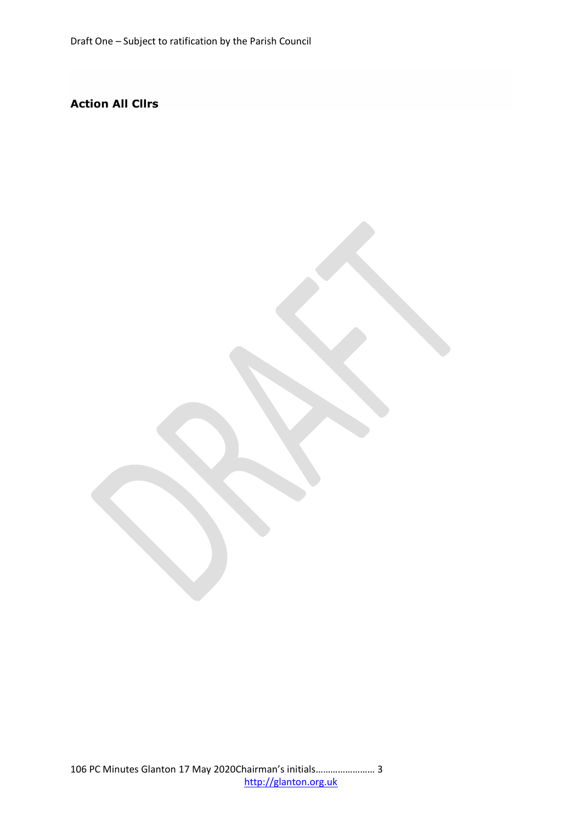# **Action All Clirs**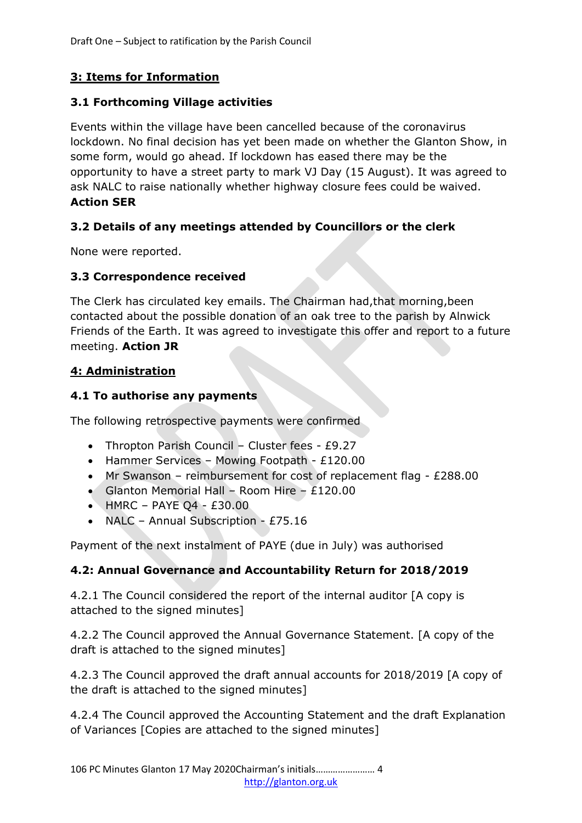# **3: Items for Information**

#### **3.1 Forthcoming Village activities**

Events within the village have been cancelled because of the coronavirus lockdown. No final decision has yet been made on whether the Glanton Show, in some form, would go ahead. If lockdown has eased there may be the opportunity to have a street party to mark VJ Day (15 August). It was agreed to ask NALC to raise nationally whether highway closure fees could be waived. **Action SER**

## **3.2 Details of any meetings attended by Councillors or the clerk**

None were reported.

#### **3.3 Correspondence received**

The Clerk has circulated key emails. The Chairman had,that morning,been contacted about the possible donation of an oak tree to the parish by Alnwick Friends of the Earth. It was agreed to investigate this offer and report to a future meeting. **Action JR**

#### **4: Administration**

### **4.1 To authorise any payments**

The following retrospective payments were confirmed

- Thropton Parish Council Cluster fees £9.27
- Hammer Services Mowing Footpath  $£120.00$
- Mr Swanson reimbursement for cost of replacement flag £288.00
- Glanton Memorial Hall Room Hire  $£120.00$
- $\bullet$  HMRC PAYE Q4 £30.00
- NALC Annual Subscription £75.16

Payment of the next instalment of PAYE (due in July) was authorised

## **4.2: Annual Governance and Accountability Return for 2018/2019**

4.2.1 The Council considered the report of the internal auditor [A copy is attached to the signed minutes]

4.2.2 The Council approved the Annual Governance Statement. [A copy of the draft is attached to the signed minutes]

4.2.3 The Council approved the draft annual accounts for 2018/2019 [A copy of the draft is attached to the signed minutes]

4.2.4 The Council approved the Accounting Statement and the draft Explanation of Variances [Copies are attached to the signed minutes]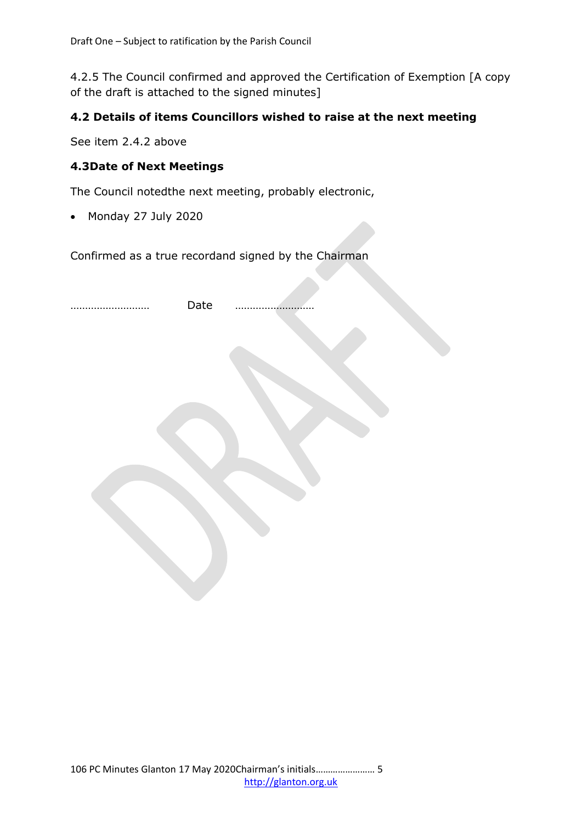4.2.5 The Council confirmed and approved the Certification of Exemption [A copy of the draft is attached to the signed minutes]

### **4.2 Details of items Councillors wished to raise at the next meeting**

See item 2.4.2 above

### **4.3Date of Next Meetings**

The Council notedthe next meeting, probably electronic,

Monday 27 July 2020

Confirmed as a true recordand signed by the Chairman

| Date |  |  |
|------|--|--|
|      |  |  |
|      |  |  |